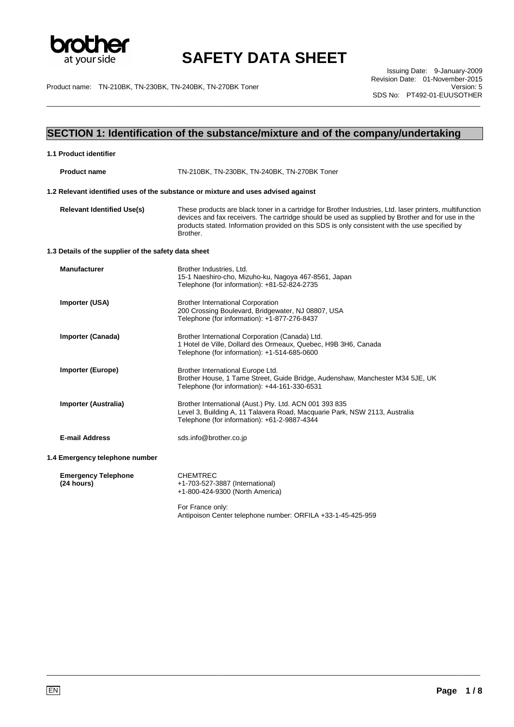

\_\_\_\_\_\_\_\_\_\_\_\_\_\_\_\_\_\_\_\_\_\_\_\_\_\_\_\_\_\_\_\_\_\_\_\_\_\_\_\_\_\_\_\_\_\_\_\_\_\_\_\_\_\_\_\_\_\_\_\_\_\_\_\_\_\_\_\_\_\_\_\_\_\_\_\_\_\_\_\_\_\_\_\_\_\_\_\_\_\_\_\_\_\_\_\_\_\_\_\_\_\_\_\_\_\_\_\_\_\_\_\_\_

Product name: TN-210BK, TN-230BK, TN-240BK, TN-270BK Toner Version: 5

Issuing Date: 9-January-2009 Revision Date: 01-November-2015 SDS No: PT492-01-EUUSOTHER

## **SECTION 1: Identification of the substance/mixture and of the company/undertaking**

| 1.1 Product identifier                               |                                                                                                                                                                                                                                                                                                                             |
|------------------------------------------------------|-----------------------------------------------------------------------------------------------------------------------------------------------------------------------------------------------------------------------------------------------------------------------------------------------------------------------------|
| <b>Product name</b>                                  | TN-210BK, TN-230BK, TN-240BK, TN-270BK Toner                                                                                                                                                                                                                                                                                |
|                                                      | 1.2 Relevant identified uses of the substance or mixture and uses advised against                                                                                                                                                                                                                                           |
| <b>Relevant Identified Use(s)</b>                    | These products are black toner in a cartridge for Brother Industries, Ltd. laser printers, multifunction<br>devices and fax receivers. The cartridge should be used as supplied by Brother and for use in the<br>products stated. Information provided on this SDS is only consistent with the use specified by<br>Brother. |
| 1.3 Details of the supplier of the safety data sheet |                                                                                                                                                                                                                                                                                                                             |
| <b>Manufacturer</b>                                  | Brother Industries, Ltd.<br>15-1 Naeshiro-cho, Mizuho-ku, Nagoya 467-8561, Japan<br>Telephone (for information): +81-52-824-2735                                                                                                                                                                                            |
| Importer (USA)                                       | <b>Brother International Corporation</b><br>200 Crossing Boulevard, Bridgewater, NJ 08807, USA<br>Telephone (for information): +1-877-276-8437                                                                                                                                                                              |
| <b>Importer (Canada)</b>                             | Brother International Corporation (Canada) Ltd.<br>1 Hotel de Ville, Dollard des Ormeaux, Quebec, H9B 3H6, Canada<br>Telephone (for information): +1-514-685-0600                                                                                                                                                           |
| <b>Importer (Europe)</b>                             | Brother International Europe Ltd.<br>Brother House, 1 Tame Street, Guide Bridge, Audenshaw, Manchester M34 5JE, UK<br>Telephone (for information): +44-161-330-6531                                                                                                                                                         |
| <b>Importer (Australia)</b>                          | Brother International (Aust.) Pty. Ltd. ACN 001 393 835<br>Level 3, Building A, 11 Talavera Road, Macquarie Park, NSW 2113, Australia<br>Telephone (for information): +61-2-9887-4344                                                                                                                                       |
| <b>E-mail Address</b>                                | sds.info@brother.co.jp                                                                                                                                                                                                                                                                                                      |
| 1.4 Emergency telephone number                       |                                                                                                                                                                                                                                                                                                                             |
| <b>Emergency Telephone</b><br>(24 hours)             | <b>CHEMTREC</b><br>+1-703-527-3887 (International)<br>+1-800-424-9300 (North America)                                                                                                                                                                                                                                       |
|                                                      | For France only:                                                                                                                                                                                                                                                                                                            |

Antipoison Center telephone number: ORFILA +33-1-45-425-959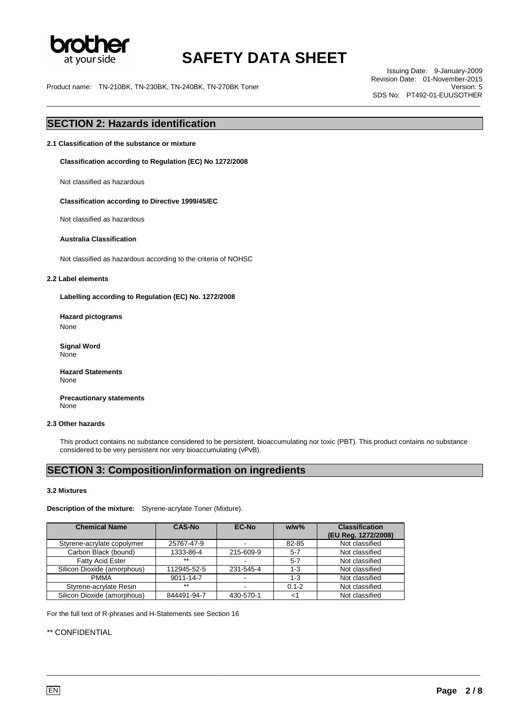

\_\_\_\_\_\_\_\_\_\_\_\_\_\_\_\_\_\_\_\_\_\_\_\_\_\_\_\_\_\_\_\_\_\_\_\_\_\_\_\_\_\_\_\_\_\_\_\_\_\_\_\_\_\_\_\_\_\_\_\_\_\_\_\_\_\_\_\_\_\_\_\_\_\_\_\_\_\_\_\_\_\_\_\_\_\_\_\_\_\_\_\_\_\_\_\_\_\_\_\_\_\_\_\_\_\_\_\_\_\_\_\_\_

Product name: TN-210BK, TN-230BK, TN-240BK, TN-270BK Toner

Issuing Date: 9-January-2009 Revision Date: 01-November-2015 SDS No: PT492-01-EUUSOTHER

### **SECTION 2: Hazards identification**

**2.1 Classification of the substance or mixture** 

**Classification according to Regulation (EC) No 1272/2008** 

Not classified as hazardous

**Classification according to Directive 1999/45/EC**

Not classified as hazardous

#### **Australia Classification**

Not classified as hazardous according to the criteria of NOHSC

#### **2.2 Label elements**

**Labelling according to Regulation (EC) No. 1272/2008** 

**Hazard pictograms**  None

**Signal Word** None

**Hazard Statements** None

**Precautionary statements** None

#### **2.3 Other hazards**

This product contains no substance considered to be persistent, bioaccumulating nor toxic (PBT). This product contains no substance considered to be very persistent nor very bioaccumulating (vPvB).

\_\_\_\_\_\_\_\_\_\_\_\_\_\_\_\_\_\_\_\_\_\_\_\_\_\_\_\_\_\_\_\_\_\_\_\_\_\_\_\_\_\_\_\_\_\_\_\_\_\_\_\_\_\_\_\_\_\_\_\_\_\_\_\_\_\_\_\_\_\_\_\_\_\_\_\_\_\_\_\_\_\_\_\_\_\_\_\_\_\_\_\_\_\_\_\_\_\_\_\_\_\_\_\_\_\_\_\_\_\_\_\_\_

### **SECTION 3: Composition/information on ingredients**

#### **3.2 Mixtures**

**Description of the mixture:** Styrene-acrylate Toner (Mixture).

| <b>Chemical Name</b>        | <b>CAS-No</b> | EC-No     | $w/w$ %   | <b>Classification</b> |
|-----------------------------|---------------|-----------|-----------|-----------------------|
|                             |               |           |           | (EU Reg. 1272/2008)   |
| Styrene-acrylate copolymer  | 25767-47-9    | -         | 82-85     | Not classified        |
| Carbon Black (bound)        | 1333-86-4     | 215-609-9 | $5 - 7$   | Not classified        |
| <b>Fatty Acid Ester</b>     | $***$         |           | $5 - 7$   | Not classified        |
| Silicon Dioxide (amorphous) | 112945-52-5   | 231-545-4 | $1 - 3$   | Not classified        |
| <b>PMMA</b>                 | 9011-14-7     |           | $1 - 3$   | Not classified        |
| Styrene-acrylate Resin      | $***$         | ٠         | $0.1 - 2$ | Not classified        |
| Silicon Dioxide (amorphous) | 844491-94-7   | 430-570-1 | ا>        | Not classified        |

For the full text of R-phrases and H-Statements see Section 16

\*\* CONFIDENTIAL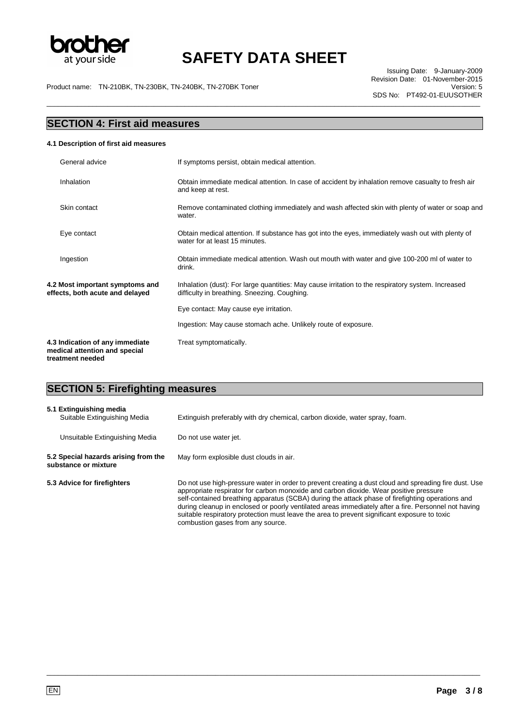

\_\_\_\_\_\_\_\_\_\_\_\_\_\_\_\_\_\_\_\_\_\_\_\_\_\_\_\_\_\_\_\_\_\_\_\_\_\_\_\_\_\_\_\_\_\_\_\_\_\_\_\_\_\_\_\_\_\_\_\_\_\_\_\_\_\_\_\_\_\_\_\_\_\_\_\_\_\_\_\_\_\_\_\_\_\_\_\_\_\_\_\_\_\_\_\_\_\_\_\_\_\_\_\_\_\_\_\_\_\_\_\_\_

Issuing Date: 9-January-2009 Revision Date: 01-November-2015 SDS No: PT492-01-EUUSOTHER

Product name: TN-210BK, TN-230BK, TN-240BK, TN-270BK Toner

### **SECTION 4: First aid measures 4.1 Description of first aid measures**  General advice **If symptoms persist, obtain medical attention.** Inhalation Obtain immediate medical attention. In case of accident by inhalation remove casualty to fresh air and keep at rest. Skin contact **Remove contaminated clothing immediately and wash affected skin with plenty of water or soap and** water. Eye contact Obtain medical attention. If substance has got into the eyes, immediately wash out with plenty of water for at least 15 minutes. Ingestion Obtain immediate medical attention. Wash out mouth with water and give 100-200 ml of water to drink. **4.2 Most important symptoms and effects, both acute and delayed**  Inhalation (dust): For large quantities: May cause irritation to the respiratory system. Increased difficulty in breathing. Sneezing. Coughing. Eye contact: May cause eye irritation. Ingestion: May cause stomach ache. Unlikely route of exposure. **4.3 Indication of any immediate medical attention and special treatment needed**  Treat symptomatically.

### **SECTION 5: Firefighting measures**

| 5.1 Extinguishing media<br>Suitable Extinguishing Media      | Extinguish preferably with dry chemical, carbon dioxide, water spray, foam.                                                                                                                                                                                                                                                                                                                                                                                                                                                                     |
|--------------------------------------------------------------|-------------------------------------------------------------------------------------------------------------------------------------------------------------------------------------------------------------------------------------------------------------------------------------------------------------------------------------------------------------------------------------------------------------------------------------------------------------------------------------------------------------------------------------------------|
| Unsuitable Extinguishing Media                               | Do not use water jet.                                                                                                                                                                                                                                                                                                                                                                                                                                                                                                                           |
| 5.2 Special hazards arising from the<br>substance or mixture | May form explosible dust clouds in air.                                                                                                                                                                                                                                                                                                                                                                                                                                                                                                         |
| 5.3 Advice for firefighters                                  | Do not use high-pressure water in order to prevent creating a dust cloud and spreading fire dust. Use<br>appropriate respirator for carbon monoxide and carbon dioxide. Wear positive pressure<br>self-contained breathing apparatus (SCBA) during the attack phase of firefighting operations and<br>during cleanup in enclosed or poorly ventilated areas immediately after a fire. Personnel not having<br>suitable respiratory protection must leave the area to prevent significant exposure to toxic<br>combustion gases from any source. |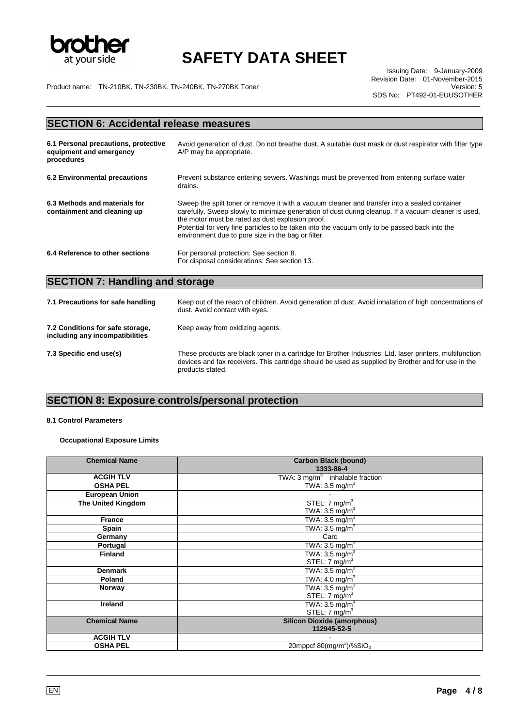

\_\_\_\_\_\_\_\_\_\_\_\_\_\_\_\_\_\_\_\_\_\_\_\_\_\_\_\_\_\_\_\_\_\_\_\_\_\_\_\_\_\_\_\_\_\_\_\_\_\_\_\_\_\_\_\_\_\_\_\_\_\_\_\_\_\_\_\_\_\_\_\_\_\_\_\_\_\_\_\_\_\_\_\_\_\_\_\_\_\_\_\_\_\_\_\_\_\_\_\_\_\_\_\_\_\_\_\_\_\_\_\_\_

Product name: TN-210BK, TN-230BK, TN-240BK, TN-270BK Toner Version: 5

Issuing Date: 9-January-2009 Revision Date: 01-November-2015 SDS No: PT492-01-EUUSOTHER

### **SECTION 6: Accidental release measures**

| 6.1 Personal precautions, protective<br>equipment and emergency<br>procedures | Avoid generation of dust. Do not breathe dust. A suitable dust mask or dust respirator with filter type<br>A/P may be appropriate.                                                                                                                                                                                                                                                                              |
|-------------------------------------------------------------------------------|-----------------------------------------------------------------------------------------------------------------------------------------------------------------------------------------------------------------------------------------------------------------------------------------------------------------------------------------------------------------------------------------------------------------|
| 6.2 Environmental precautions                                                 | Prevent substance entering sewers. Washings must be prevented from entering surface water<br>drains.                                                                                                                                                                                                                                                                                                            |
| 6.3 Methods and materials for<br>containment and cleaning up                  | Sweep the spilt toner or remove it with a vacuum cleaner and transfer into a sealed container<br>carefully. Sweep slowly to minimize generation of dust during cleanup. If a vacuum cleaner is used,<br>the motor must be rated as dust explosion proof.<br>Potential for very fine particles to be taken into the vacuum only to be passed back into the<br>environment due to pore size in the bag or filter. |
| 6.4 Reference to other sections                                               | For personal protection: See section 8.<br>For disposal considerations: See section 13.                                                                                                                                                                                                                                                                                                                         |

## **SECTION 7: Handling and storage**

| 7.1 Precautions for safe handling                                   | Keep out of the reach of children. Avoid generation of dust. Avoid inhalation of high concentrations of<br>dust. Avoid contact with eyes.                                                                                          |
|---------------------------------------------------------------------|------------------------------------------------------------------------------------------------------------------------------------------------------------------------------------------------------------------------------------|
| 7.2 Conditions for safe storage,<br>including any incompatibilities | Keep away from oxidizing agents.                                                                                                                                                                                                   |
| 7.3 Specific end use(s)                                             | These products are black toner in a cartridge for Brother Industries, Ltd. laser printers, multifunction<br>devices and fax receivers. This cartridge should be used as supplied by Brother and for use in the<br>products stated. |

## **SECTION 8: Exposure controls/personal protection**

### **8.1 Control Parameters**

### **Occupational Exposure Limits**

| <b>Chemical Name</b>  | <b>Carbon Black (bound)</b>                                 |
|-----------------------|-------------------------------------------------------------|
|                       | 1333-86-4                                                   |
| <b>ACGIH TLV</b>      | TWA: $3 \text{ mg/m}^3$ inhalable fraction                  |
| <b>OSHA PEL</b>       | TWA: $3.5 \text{ mg/m}^3$                                   |
| <b>European Union</b> |                                                             |
| The United Kingdom    | STEL: $7 \text{ mg/m}^3$                                    |
|                       | TWA: $3.5 \text{ mg/m}^3$                                   |
| <b>France</b>         | TWA: $3.5 \text{ mg/m}^3$                                   |
| Spain                 | TWA: $3.5 \text{ mg/m}^3$                                   |
| Germany               | Carc                                                        |
| Portugal              | TWA: $3.\overline{5}$ mg/m <sup>3</sup>                     |
| <b>Finland</b>        | TWA: 3.5 mg/m $^3$                                          |
|                       | STEL: $7 \text{ mg/m}^3$                                    |
| <b>Denmark</b>        | TWA: $3.5 \text{ mg/m}^3$                                   |
| Poland                | TWA: $4.0 \text{ mg/m}^3$                                   |
| Norway                | TWA: $3.5 \text{ mg/m}^3$                                   |
|                       | STEL: $7 \text{ mg/m}^3$                                    |
| Ireland               | TWA: $3.5 \text{ mg/m}^3$                                   |
|                       | STEL: $7 \text{ mg/m}^3$                                    |
| <b>Chemical Name</b>  | <b>Silicon Dioxide (amorphous)</b>                          |
|                       | 112945-52-5                                                 |
| <b>ACGIH TLV</b>      |                                                             |
| <b>OSHA PEL</b>       | 20mppcf $80 \frac{\text{mg}}{\text{m}^3}$ /% $\text{SiO}_2$ |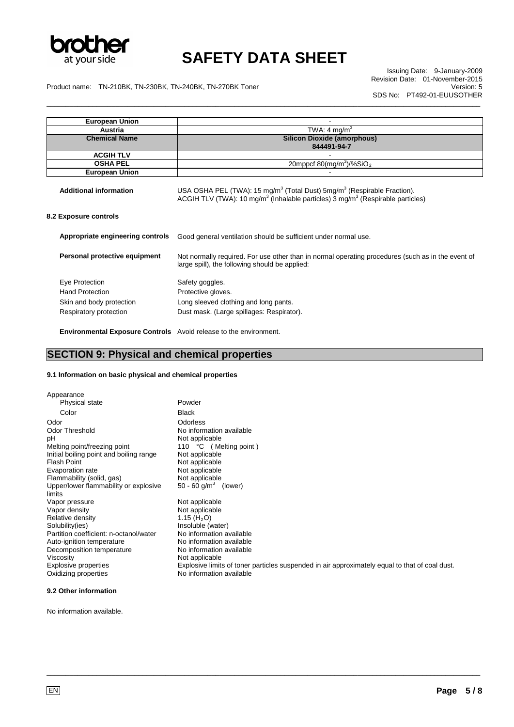

\_\_\_\_\_\_\_\_\_\_\_\_\_\_\_\_\_\_\_\_\_\_\_\_\_\_\_\_\_\_\_\_\_\_\_\_\_\_\_\_\_\_\_\_\_\_\_\_\_\_\_\_\_\_\_\_\_\_\_\_\_\_\_\_\_\_\_\_\_\_\_\_\_\_\_\_\_\_\_\_\_\_\_\_\_\_\_\_\_\_\_\_\_\_\_\_\_\_\_\_\_\_\_\_\_\_\_\_\_\_\_\_\_

Issuing Date: 9-January-2009 Revision Date: 01-November-2015 SDS No: PT492-01-EUUSOTHER

Product name: TN-210BK, TN-230BK, TN-240BK, TN-270BK Toner Version: 5

| <b>European Union</b>                                                                          |                                                                                                                                                                                                          |
|------------------------------------------------------------------------------------------------|----------------------------------------------------------------------------------------------------------------------------------------------------------------------------------------------------------|
| Austria                                                                                        | TWA: 4 mg/m <sup>3</sup>                                                                                                                                                                                 |
| <b>Chemical Name</b>                                                                           | <b>Silicon Dioxide (amorphous)</b>                                                                                                                                                                       |
|                                                                                                | 844491-94-7                                                                                                                                                                                              |
| <b>ACGIH TLV</b>                                                                               |                                                                                                                                                                                                          |
| <b>OSHA PEL</b>                                                                                | 20mppcf 80(mg/m <sup>3</sup> )/%SiO <sub>2</sub>                                                                                                                                                         |
| <b>European Union</b>                                                                          |                                                                                                                                                                                                          |
| <b>Additional information</b>                                                                  | USA OSHA PEL (TWA): 15 mg/m <sup>3</sup> (Total Dust) 5mg/m <sup>3</sup> (Respirable Fraction).<br>ACGIH TLV (TWA): 10 mg/m <sup>3</sup> (Inhalable particles) $3 \text{ mg/m}^3$ (Respirable particles) |
| 8.2 Exposure controls                                                                          |                                                                                                                                                                                                          |
| Appropriate engineering controls                                                               | Good general ventilation should be sufficient under normal use.                                                                                                                                          |
| Personal protective equipment                                                                  | Not normally required. For use other than in normal operating procedures (such as in the event of<br>large spill), the following should be applied:                                                      |
| Eye Protection<br><b>Hand Protection</b><br>Skin and body protection<br>Respiratory protection | Safety goggles.<br>Protective gloves.<br>Long sleeved clothing and long pants.<br>Dust mask. (Large spillages: Respirator).                                                                              |

**Environmental Exposure Controls** Avoid release to the environment.

### **SECTION 9: Physical and chemical properties**

#### **9.1 Information on basic physical and chemical properties**

| Appearance                                      |                                                                                                |
|-------------------------------------------------|------------------------------------------------------------------------------------------------|
| Physical state                                  | Powder                                                                                         |
| Color                                           | <b>Black</b>                                                                                   |
| Odor                                            | Odorless                                                                                       |
| <b>Odor Threshold</b>                           | No information available                                                                       |
| рH                                              | Not applicable                                                                                 |
| Melting point/freezing point                    | 110 °C<br>(Melting point)                                                                      |
| Initial boiling point and boiling range         | Not applicable                                                                                 |
| <b>Flash Point</b>                              | Not applicable                                                                                 |
| Evaporation rate                                | Not applicable                                                                                 |
| Flammability (solid, gas)                       | Not applicable                                                                                 |
| Upper/lower flammability or explosive<br>limits | 50 - 60 g/m <sup>3</sup><br>(lower)                                                            |
| Vapor pressure                                  | Not applicable                                                                                 |
| Vapor density                                   | Not applicable                                                                                 |
| Relative density                                | 1.15 ( $H_2O$ )                                                                                |
| Solubility(ies)                                 | Insoluble (water)                                                                              |
| Partition coefficient: n-octanol/water          | No information available                                                                       |
| Auto-ignition temperature                       | No information available                                                                       |
| Decomposition temperature                       | No information available                                                                       |
| Viscosity                                       | Not applicable                                                                                 |
| Explosive properties                            | Explosive limits of toner particles suspended in air approximately equal to that of coal dust. |
| Oxidizing properties                            | No information available                                                                       |

\_\_\_\_\_\_\_\_\_\_\_\_\_\_\_\_\_\_\_\_\_\_\_\_\_\_\_\_\_\_\_\_\_\_\_\_\_\_\_\_\_\_\_\_\_\_\_\_\_\_\_\_\_\_\_\_\_\_\_\_\_\_\_\_\_\_\_\_\_\_\_\_\_\_\_\_\_\_\_\_\_\_\_\_\_\_\_\_\_\_\_\_\_\_\_\_\_\_\_\_\_\_\_\_\_\_\_\_\_\_\_\_\_

#### **9.2 Other information**

No information available.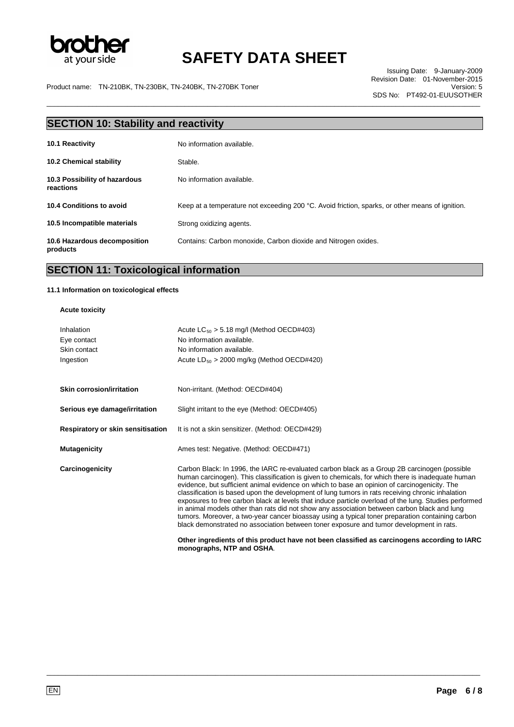

\_\_\_\_\_\_\_\_\_\_\_\_\_\_\_\_\_\_\_\_\_\_\_\_\_\_\_\_\_\_\_\_\_\_\_\_\_\_\_\_\_\_\_\_\_\_\_\_\_\_\_\_\_\_\_\_\_\_\_\_\_\_\_\_\_\_\_\_\_\_\_\_\_\_\_\_\_\_\_\_\_\_\_\_\_\_\_\_\_\_\_\_\_\_\_\_\_\_\_\_\_\_\_\_\_\_\_\_\_\_\_\_\_

Issuing Date: 9-January-2009 Revision Date: 01-November-2015 SDS No: PT492-01-EUUSOTHER

Product name: TN-210BK, TN-230BK, TN-240BK, TN-270BK Toner Version: 5

| <b>SECTION 10: Stability and reactivity</b>       |                                                                                                 |  |  |
|---------------------------------------------------|-------------------------------------------------------------------------------------------------|--|--|
| 10.1 Reactivity                                   | No information available.                                                                       |  |  |
| <b>10.2 Chemical stability</b>                    | Stable.                                                                                         |  |  |
| 10.3 Possibility of hazardous<br><b>reactions</b> | No information available.                                                                       |  |  |
| 10.4 Conditions to avoid                          | Keep at a temperature not exceeding 200 °C. Avoid friction, sparks, or other means of ignition. |  |  |
| 10.5 Incompatible materials                       | Strong oxidizing agents.                                                                        |  |  |
| 10.6 Hazardous decomposition<br>products          | Contains: Carbon monoxide, Carbon dioxide and Nitrogen oxides.                                  |  |  |

### **SECTION 11: Toxicological information**

#### **11.1 Information on toxicological effects**

#### **Acute toxicity**

| Inhalation<br>Eye contact<br>Skin contact<br>Ingestion | Acute $LC_{50}$ > 5.18 mg/l (Method OECD#403)<br>No information available.<br>No information available.<br>Acute $LD_{50} > 2000$ mg/kg (Method OECD#420)                                                                                                                                                                                                                                                                                                                                                                                                                                                                                                                                                                                                                                                                                                                                                                                |
|--------------------------------------------------------|------------------------------------------------------------------------------------------------------------------------------------------------------------------------------------------------------------------------------------------------------------------------------------------------------------------------------------------------------------------------------------------------------------------------------------------------------------------------------------------------------------------------------------------------------------------------------------------------------------------------------------------------------------------------------------------------------------------------------------------------------------------------------------------------------------------------------------------------------------------------------------------------------------------------------------------|
| <b>Skin corrosion/irritation</b>                       | Non-irritant. (Method: OECD#404)                                                                                                                                                                                                                                                                                                                                                                                                                                                                                                                                                                                                                                                                                                                                                                                                                                                                                                         |
| Serious eye damage/irritation                          | Slight irritant to the eye (Method: OECD#405)                                                                                                                                                                                                                                                                                                                                                                                                                                                                                                                                                                                                                                                                                                                                                                                                                                                                                            |
| Respiratory or skin sensitisation                      | It is not a skin sensitizer. (Method: OECD#429)                                                                                                                                                                                                                                                                                                                                                                                                                                                                                                                                                                                                                                                                                                                                                                                                                                                                                          |
| <b>Mutagenicity</b>                                    | Ames test: Negative. (Method: OECD#471)                                                                                                                                                                                                                                                                                                                                                                                                                                                                                                                                                                                                                                                                                                                                                                                                                                                                                                  |
| Carcinogenicity                                        | Carbon Black: In 1996, the IARC re-evaluated carbon black as a Group 2B carcinogen (possible<br>human carcinogen). This classification is given to chemicals, for which there is inadequate human<br>evidence, but sufficient animal evidence on which to base an opinion of carcinogenicity. The<br>classification is based upon the development of lung tumors in rats receiving chronic inhalation<br>exposures to free carbon black at levels that induce particle overload of the lung. Studies performed<br>in animal models other than rats did not show any association between carbon black and lung<br>tumors. Moreover, a two-year cancer bioassay using a typical toner preparation containing carbon<br>black demonstrated no association between toner exposure and tumor development in rats.<br>Other ingredients of this product have not been classified as carcinogens according to IARC<br>monographs, NTP and OSHA. |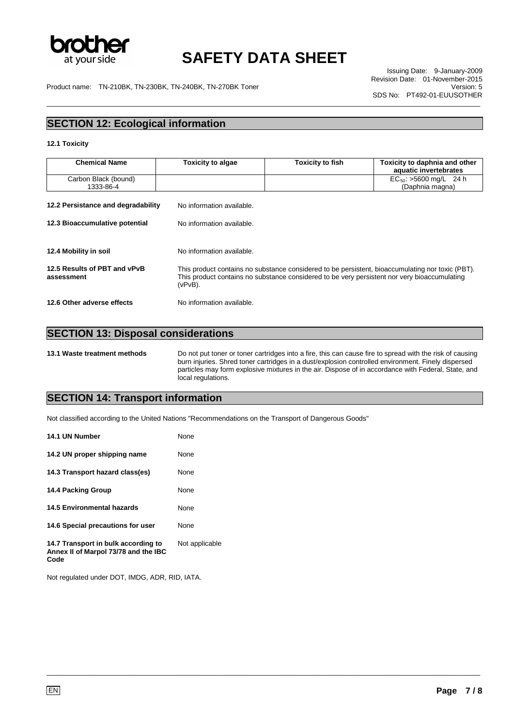

\_\_\_\_\_\_\_\_\_\_\_\_\_\_\_\_\_\_\_\_\_\_\_\_\_\_\_\_\_\_\_\_\_\_\_\_\_\_\_\_\_\_\_\_\_\_\_\_\_\_\_\_\_\_\_\_\_\_\_\_\_\_\_\_\_\_\_\_\_\_\_\_\_\_\_\_\_\_\_\_\_\_\_\_\_\_\_\_\_\_\_\_\_\_\_\_\_\_\_\_\_\_\_\_\_\_\_\_\_\_\_\_\_

Issuing Date: 9-January-2009 Revision Date: 01-November-2015 SDS No: PT492-01-EUUSOTHER

Product name: TN-210BK, TN-230BK, TN-240BK, TN-270BK Toner

### **SECTION 12: Ecological information**

#### **12.1 Toxicity**

| <b>Chemical Name</b>                                                 | <b>Toxicity to algae</b>                                                                                                                                                                                       | <b>Toxicity to fish</b> | Toxicity to daphnia and other<br>aquatic invertebrates |
|----------------------------------------------------------------------|----------------------------------------------------------------------------------------------------------------------------------------------------------------------------------------------------------------|-------------------------|--------------------------------------------------------|
| Carbon Black (bound)<br>1333-86-4                                    |                                                                                                                                                                                                                |                         | $EC_{50}$ : >5600 mg/L 24 h<br>(Daphnia magna)         |
| 12.2 Persistance and degradability<br>12.3 Bioaccumulative potential | No information available.<br>No information available.                                                                                                                                                         |                         |                                                        |
| 12.4 Mobility in soil                                                | No information available.                                                                                                                                                                                      |                         |                                                        |
| 12.5 Results of PBT and vPvB<br>assessment                           | This product contains no substance considered to be persistent, bioaccumulating nor toxic (PBT).<br>This product contains no substance considered to be very persistent nor very bioaccumulating<br>$(vPvB)$ . |                         |                                                        |
| 12.6 Other adverse effects                                           | No information available.                                                                                                                                                                                      |                         |                                                        |

### **SECTION 13: Disposal considerations**

**13.1 Waste treatment methods** Do not put toner or toner cartridges into a fire, this can cause fire to spread with the risk of causing burn injuries. Shred toner cartridges in a dust/explosion controlled environment. Finely dispersed particles may form explosive mixtures in the air. Dispose of in accordance with Federal, State, and local regulations.

\_\_\_\_\_\_\_\_\_\_\_\_\_\_\_\_\_\_\_\_\_\_\_\_\_\_\_\_\_\_\_\_\_\_\_\_\_\_\_\_\_\_\_\_\_\_\_\_\_\_\_\_\_\_\_\_\_\_\_\_\_\_\_\_\_\_\_\_\_\_\_\_\_\_\_\_\_\_\_\_\_\_\_\_\_\_\_\_\_\_\_\_\_\_\_\_\_\_\_\_\_\_\_\_\_\_\_\_\_\_\_\_\_

### **SECTION 14: Transport information**

Not classified according to the United Nations "Recommendations on the Transport of Dangerous Goods"

| 14.1 UN Number                                                                      | None           |
|-------------------------------------------------------------------------------------|----------------|
| 14.2 UN proper shipping name                                                        | None           |
| 14.3 Transport hazard class(es)                                                     | None           |
| 14.4 Packing Group                                                                  | None           |
| <b>14.5 Environmental hazards</b>                                                   | None           |
| 14.6 Special precautions for user                                                   | None           |
| 14.7 Transport in bulk according to<br>Annex II of Marpol 73/78 and the IBC<br>Code | Not applicable |

Not regulated under DOT, IMDG, ADR, RID, IATA.